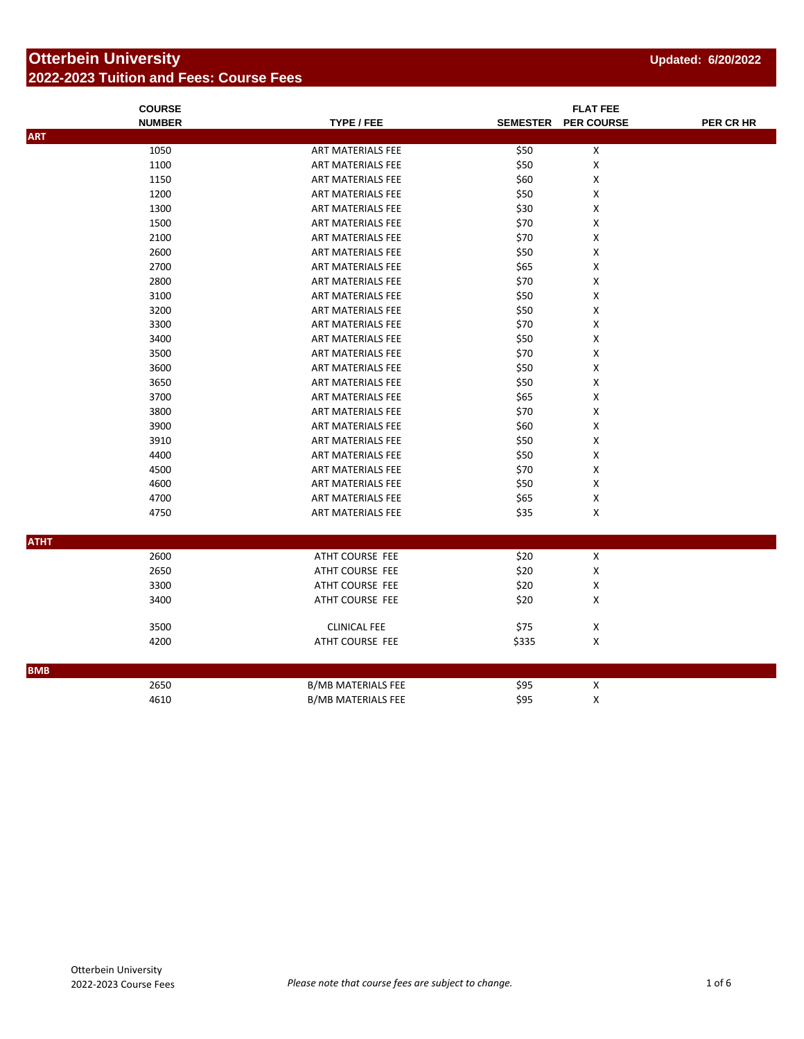## **Otterbein University 2022-2023 Tuition and Fees: Course Fees**

|             | <b>COURSE</b> |                           |       |                     |           |
|-------------|---------------|---------------------------|-------|---------------------|-----------|
|             | <b>NUMBER</b> | TYPE / FEE                |       | SEMESTER PER COURSE | PER CR HR |
| <b>ART</b>  |               |                           |       |                     |           |
|             | 1050          | ART MATERIALS FEE         | \$50  | $\pmb{\mathsf{X}}$  |           |
|             | 1100          | ART MATERIALS FEE         | \$50  | X                   |           |
|             | 1150          | ART MATERIALS FEE         | \$60  | X                   |           |
|             | 1200          | ART MATERIALS FEE         | \$50  | X                   |           |
|             | 1300          | ART MATERIALS FEE         | \$30  | Χ                   |           |
|             | 1500          | ART MATERIALS FEE         | \$70  | X                   |           |
|             | 2100          | <b>ART MATERIALS FEE</b>  | \$70  | Χ                   |           |
|             | 2600          | ART MATERIALS FEE         | \$50  | X                   |           |
|             | 2700          | ART MATERIALS FEE         | \$65  | X                   |           |
|             | 2800          | ART MATERIALS FEE         | \$70  | X                   |           |
|             | 3100          | ART MATERIALS FEE         | \$50  | X                   |           |
|             | 3200          | ART MATERIALS FEE         | \$50  | X                   |           |
|             | 3300          | ART MATERIALS FEE         | \$70  | X                   |           |
|             | 3400          | <b>ART MATERIALS FEE</b>  | \$50  | $\pmb{\mathsf{X}}$  |           |
|             | 3500          | ART MATERIALS FEE         | \$70  | X                   |           |
|             | 3600          | ART MATERIALS FEE         | \$50  | Χ                   |           |
|             | 3650          | ART MATERIALS FEE         | \$50  | X                   |           |
|             | 3700          | ART MATERIALS FEE         | \$65  | X                   |           |
|             | 3800          | ART MATERIALS FEE         | \$70  | Χ                   |           |
|             | 3900          | ART MATERIALS FEE         | \$60  | X                   |           |
|             | 3910          | ART MATERIALS FEE         | \$50  | Χ                   |           |
|             | 4400          | ART MATERIALS FEE         | \$50  | X                   |           |
|             | 4500          | ART MATERIALS FEE         | \$70  | X                   |           |
|             | 4600          | ART MATERIALS FEE         | \$50  | X                   |           |
|             | 4700          | ART MATERIALS FEE         | \$65  | X                   |           |
|             | 4750          | ART MATERIALS FEE         | \$35  | $\pmb{\mathsf{X}}$  |           |
|             |               |                           |       |                     |           |
| <b>ATHT</b> |               |                           |       |                     |           |
|             | 2600          | ATHT COURSE FEE           | \$20  | $\pmb{\times}$      |           |
|             | 2650          | ATHT COURSE FEE           | \$20  | X                   |           |
|             | 3300          | ATHT COURSE FEE           | \$20  | X                   |           |
|             | 3400          | ATHT COURSE FEE           | \$20  | X                   |           |
|             |               |                           |       |                     |           |
|             | 3500          | <b>CLINICAL FEE</b>       | \$75  | $\pmb{\mathsf{X}}$  |           |
|             | 4200          | ATHT COURSE FEE           | \$335 | X                   |           |
|             |               |                           |       |                     |           |
| <b>BMB</b>  |               |                           |       |                     |           |
|             | 2650          | <b>B/MB MATERIALS FEE</b> | \$95  | $\pmb{\mathsf{X}}$  |           |
|             | 4610          | <b>B/MB MATERIALS FEE</b> | \$95  | $\pmb{\mathsf{X}}$  |           |
|             |               |                           |       |                     |           |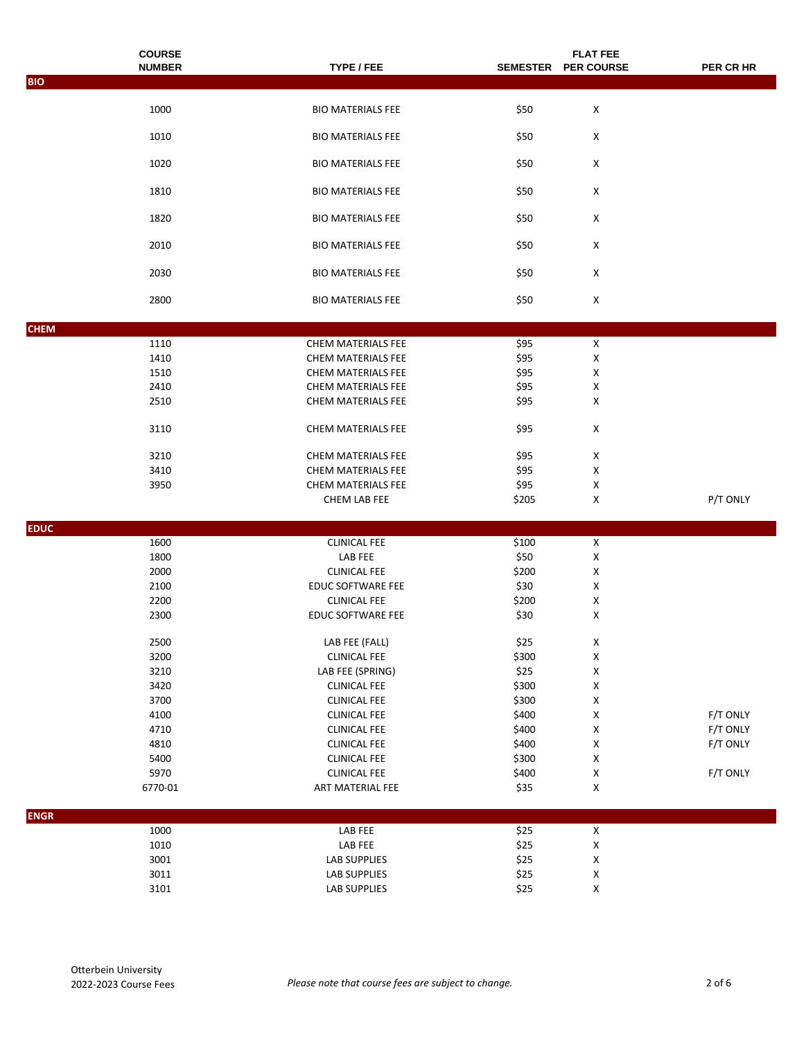|             | <b>COURSE</b> |                                          |       | <b>FLAT FEE</b>         |           |
|-------------|---------------|------------------------------------------|-------|-------------------------|-----------|
| <b>BIO</b>  | <b>NUMBER</b> | TYPE / FEE                               |       | SEMESTER PER COURSE     | PER CR HR |
|             |               |                                          |       |                         |           |
|             | 1000          | <b>BIO MATERIALS FEE</b>                 | \$50  | X                       |           |
|             | 1010          | <b>BIO MATERIALS FEE</b>                 | \$50  | X                       |           |
|             | 1020          | <b>BIO MATERIALS FEE</b>                 | \$50  | X                       |           |
|             | 1810          | <b>BIO MATERIALS FEE</b>                 | \$50  | X                       |           |
|             | 1820          | <b>BIO MATERIALS FEE</b>                 | \$50  | X                       |           |
|             | 2010          | <b>BIO MATERIALS FEE</b>                 | \$50  | X                       |           |
|             | 2030          | <b>BIO MATERIALS FEE</b>                 | \$50  | X                       |           |
|             | 2800          | <b>BIO MATERIALS FEE</b>                 | \$50  | X                       |           |
|             |               |                                          |       |                         |           |
| <b>CHEM</b> | 1110          |                                          | \$95  | X                       |           |
|             | 1410          | CHEM MATERIALS FEE<br>CHEM MATERIALS FEE | \$95  | X                       |           |
|             | 1510          | <b>CHEM MATERIALS FEE</b>                | \$95  | X                       |           |
|             | 2410          | CHEM MATERIALS FEE                       | \$95  | X                       |           |
|             | 2510          | <b>CHEM MATERIALS FEE</b>                | \$95  | X                       |           |
|             |               |                                          |       |                         |           |
|             | 3110          | CHEM MATERIALS FEE                       | \$95  | X                       |           |
|             | 3210          | CHEM MATERIALS FEE                       | \$95  | X                       |           |
|             | 3410          | CHEM MATERIALS FEE                       | \$95  | X                       |           |
|             | 3950          | CHEM MATERIALS FEE                       | \$95  | X                       |           |
|             |               | CHEM LAB FEE                             | \$205 | X                       | P/T ONLY  |
| <b>EDUC</b> |               |                                          |       |                         |           |
|             | 1600          | <b>CLINICAL FEE</b>                      | \$100 | X                       |           |
|             | 1800          | LAB FEE                                  | \$50  | X                       |           |
|             | 2000          | <b>CLINICAL FEE</b>                      | \$200 | Χ                       |           |
|             | 2100          | EDUC SOFTWARE FEE                        | \$30  | X                       |           |
|             | 2200          | <b>CLINICAL FEE</b>                      | \$200 | X                       |           |
|             | 2300          | EDUC SOFTWARE FEE                        | \$30  | X                       |           |
|             | 2500          | LAB FEE (FALL)                           | \$25  | $\pmb{\mathsf{X}}$      |           |
|             | 3200          | <b>CLINICAL FEE</b>                      | \$300 | $\pmb{\mathsf{X}}$      |           |
|             | 3210          | LAB FEE (SPRING)                         | \$25  | X                       |           |
|             | 3420          | <b>CLINICAL FEE</b>                      | \$300 | X                       |           |
|             | 3700          | <b>CLINICAL FEE</b>                      | \$300 | X                       |           |
|             | 4100          | <b>CLINICAL FEE</b>                      | \$400 | X                       | F/T ONLY  |
|             | 4710          | <b>CLINICAL FEE</b>                      | \$400 | X                       | F/T ONLY  |
|             | 4810          | <b>CLINICAL FEE</b>                      | \$400 | X                       | F/T ONLY  |
|             | 5400          | <b>CLINICAL FEE</b>                      | \$300 | X                       |           |
|             | 5970          | <b>CLINICAL FEE</b>                      | \$400 | $\pmb{\mathsf{X}}$      | F/T ONLY  |
|             | 6770-01       | ART MATERIAL FEE                         | \$35  | X                       |           |
| <b>ENGR</b> |               |                                          |       |                         |           |
|             | 1000          | LAB FEE                                  | \$25  | $\overline{\mathbf{X}}$ |           |
|             | 1010          | LAB FEE                                  | \$25  | $\pmb{\mathsf{X}}$      |           |
|             | 3001          | LAB SUPPLIES                             | \$25  | $\pmb{\mathsf{X}}$      |           |
|             | 3011          | LAB SUPPLIES                             | \$25  | $\pmb{\mathsf{X}}$      |           |
|             | 3101          | LAB SUPPLIES                             | \$25  | $\pmb{\mathsf{X}}$      |           |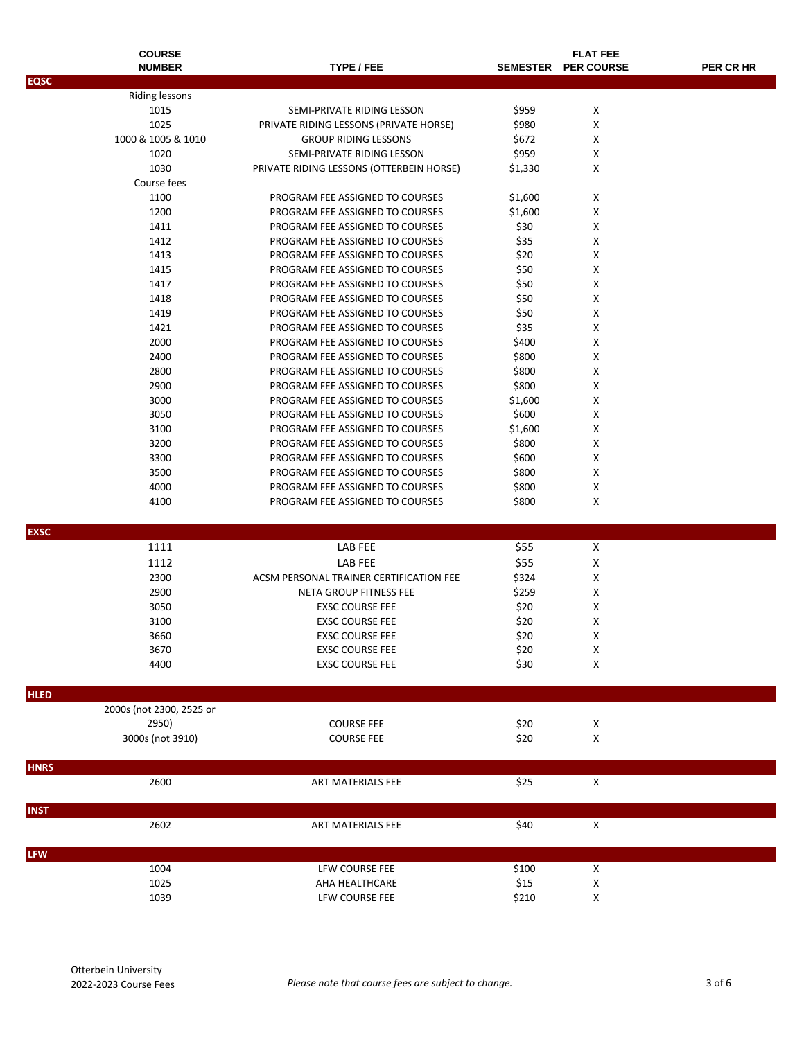|             | <b>COURSE</b>            |                                          |                 | <b>FLAT FEE</b>    |           |
|-------------|--------------------------|------------------------------------------|-----------------|--------------------|-----------|
|             | <b>NUMBER</b>            | TYPE / FEE                               | <b>SEMESTER</b> | <b>PER COURSE</b>  | PER CR HR |
| <b>EQSC</b> |                          |                                          |                 |                    |           |
|             | Riding lessons           |                                          |                 |                    |           |
|             | 1015                     | SEMI-PRIVATE RIDING LESSON               | \$959           | X                  |           |
|             | 1025                     | PRIVATE RIDING LESSONS (PRIVATE HORSE)   | \$980           | X                  |           |
|             | 1000 & 1005 & 1010       | <b>GROUP RIDING LESSONS</b>              | \$672           | X                  |           |
|             | 1020                     | SEMI-PRIVATE RIDING LESSON               | \$959           | X                  |           |
|             | 1030                     | PRIVATE RIDING LESSONS (OTTERBEIN HORSE) | \$1,330         | Х                  |           |
|             | Course fees              |                                          |                 |                    |           |
|             | 1100                     | PROGRAM FEE ASSIGNED TO COURSES          | \$1,600         | X                  |           |
|             | 1200                     | PROGRAM FEE ASSIGNED TO COURSES          | \$1,600         | X                  |           |
|             | 1411                     | PROGRAM FEE ASSIGNED TO COURSES          | \$30            | х                  |           |
|             | 1412                     | PROGRAM FEE ASSIGNED TO COURSES          | \$35            | X                  |           |
|             | 1413                     | PROGRAM FEE ASSIGNED TO COURSES          | \$20            | X                  |           |
|             | 1415                     | PROGRAM FEE ASSIGNED TO COURSES          | \$50            | X                  |           |
|             | 1417                     | PROGRAM FEE ASSIGNED TO COURSES          | \$50            | X                  |           |
|             | 1418                     | PROGRAM FEE ASSIGNED TO COURSES          | \$50            | X                  |           |
|             | 1419                     | PROGRAM FEE ASSIGNED TO COURSES          | \$50            | X                  |           |
|             | 1421                     | PROGRAM FEE ASSIGNED TO COURSES          | \$35            | X                  |           |
|             | 2000                     | PROGRAM FEE ASSIGNED TO COURSES          | \$400           | X                  |           |
|             | 2400                     | PROGRAM FEE ASSIGNED TO COURSES          | \$800           | X                  |           |
|             | 2800                     | PROGRAM FEE ASSIGNED TO COURSES          | \$800           | X                  |           |
|             | 2900                     | PROGRAM FEE ASSIGNED TO COURSES          | \$800           | X                  |           |
|             | 3000                     | PROGRAM FEE ASSIGNED TO COURSES          | \$1,600         | X                  |           |
|             | 3050                     | PROGRAM FEE ASSIGNED TO COURSES          | \$600           | X                  |           |
|             | 3100                     | PROGRAM FEE ASSIGNED TO COURSES          | \$1,600         | X                  |           |
|             | 3200                     | PROGRAM FEE ASSIGNED TO COURSES          | \$800           | X                  |           |
|             | 3300                     | PROGRAM FEE ASSIGNED TO COURSES          | \$600           | X                  |           |
|             | 3500                     | PROGRAM FEE ASSIGNED TO COURSES          | \$800           | X                  |           |
|             | 4000                     | PROGRAM FEE ASSIGNED TO COURSES          | \$800           | X                  |           |
|             | 4100                     | PROGRAM FEE ASSIGNED TO COURSES          | \$800           | X                  |           |
|             |                          |                                          |                 |                    |           |
| <b>EXSC</b> |                          |                                          |                 |                    |           |
|             | 1111                     | LAB FEE                                  | \$55            | X                  |           |
|             | 1112                     | <b>LAB FEE</b>                           | \$55            | X                  |           |
|             | 2300                     | ACSM PERSONAL TRAINER CERTIFICATION FEE  | \$324           | X                  |           |
|             | 2900                     | NETA GROUP FITNESS FEE                   | \$259           | X                  |           |
|             | 3050                     | <b>EXSC COURSE FEE</b>                   | \$20            | X                  |           |
|             | 3100                     | <b>EXSC COURSE FEE</b>                   | \$20            | X                  |           |
|             | 3660                     | <b>EXSC COURSE FEE</b>                   | \$20            | X                  |           |
|             | 3670                     | <b>EXSC COURSE FEE</b>                   | \$20            | х                  |           |
|             | 4400                     | <b>EXSC COURSE FEE</b>                   | \$30            | X                  |           |
|             |                          |                                          |                 |                    |           |
| <b>HLED</b> |                          |                                          |                 |                    |           |
|             | 2000s (not 2300, 2525 or |                                          |                 |                    |           |
|             | 2950)                    | <b>COURSE FEE</b>                        | \$20            | X                  |           |
|             | 3000s (not 3910)         | <b>COURSE FEE</b>                        | \$20            | $\mathsf X$        |           |
|             |                          |                                          |                 |                    |           |
| <b>HNRS</b> |                          |                                          |                 |                    |           |
|             | 2600                     | ART MATERIALS FEE                        | \$25            | $\pmb{\mathsf{X}}$ |           |
|             |                          |                                          |                 |                    |           |
| <b>INST</b> |                          |                                          |                 |                    |           |
|             | 2602                     | ART MATERIALS FEE                        | \$40            | $\pmb{\mathsf{X}}$ |           |
|             |                          |                                          |                 |                    |           |
| <b>LFW</b>  |                          |                                          |                 |                    |           |
|             | 1004                     | LFW COURSE FEE                           | \$100           | $\pmb{\mathsf{X}}$ |           |
|             | 1025                     | AHA HEALTHCARE                           | \$15            | X                  |           |
|             | 1039                     | LFW COURSE FEE                           | \$210           | $\pmb{\mathsf{X}}$ |           |
|             |                          |                                          |                 |                    |           |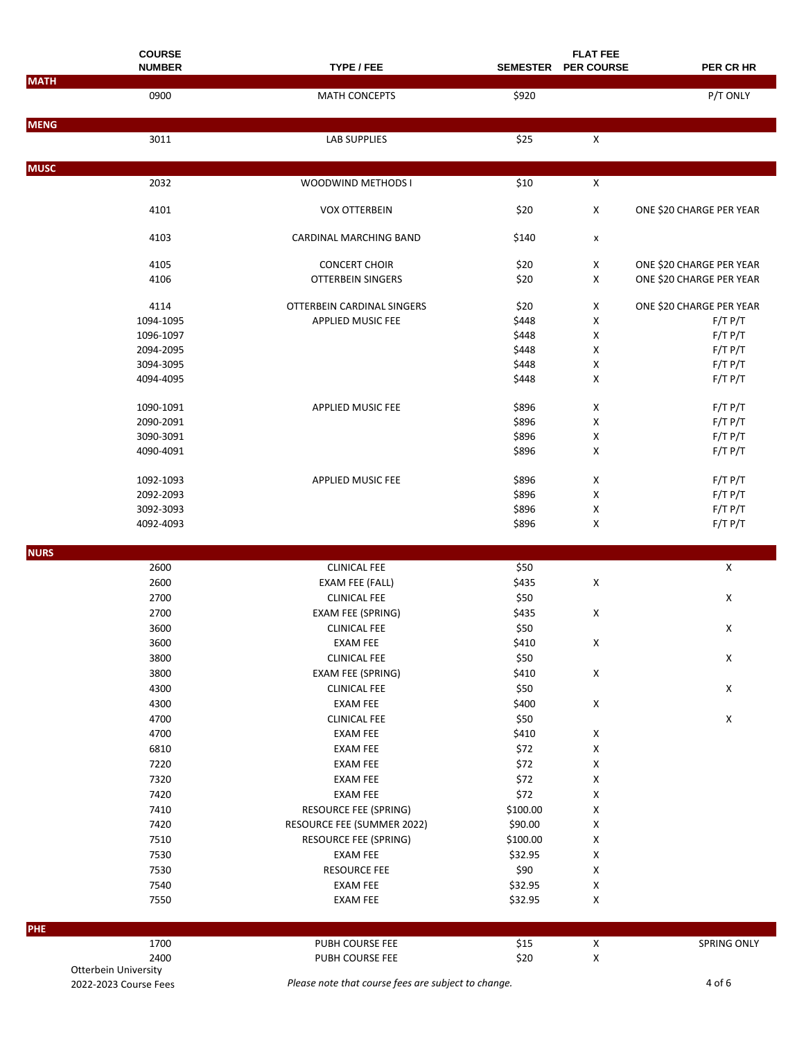|             | <b>COURSE</b>        |                                    |                    | <b>FLAT FEE</b>           |                          |
|-------------|----------------------|------------------------------------|--------------------|---------------------------|--------------------------|
|             | <b>NUMBER</b>        | TYPE / FEE                         |                    | SEMESTER PER COURSE       | PER CR HR                |
| <b>MATH</b> | 0900                 | <b>MATH CONCEPTS</b>               | \$920              |                           | P/T ONLY                 |
|             |                      |                                    |                    |                           |                          |
| <b>MENG</b> |                      |                                    |                    |                           |                          |
|             | 3011                 | <b>LAB SUPPLIES</b>                | \$25               | $\mathsf X$               |                          |
| <b>MUSC</b> |                      |                                    |                    |                           |                          |
|             | 2032                 | WOODWIND METHODS I                 | \$10               | $\boldsymbol{\mathsf{X}}$ |                          |
|             | 4101                 | <b>VOX OTTERBEIN</b>               | \$20               | X                         | ONE \$20 CHARGE PER YEAR |
|             | 4103                 | <b>CARDINAL MARCHING BAND</b>      | \$140              | x                         |                          |
|             | 4105                 | <b>CONCERT CHOIR</b>               | \$20               | Χ                         | ONE \$20 CHARGE PER YEAR |
|             | 4106                 | <b>OTTERBEIN SINGERS</b>           | \$20               | Χ                         | ONE \$20 CHARGE PER YEAR |
|             | 4114                 | OTTERBEIN CARDINAL SINGERS         | \$20               | Χ                         | ONE \$20 CHARGE PER YEAR |
|             | 1094-1095            | <b>APPLIED MUSIC FEE</b>           | \$448              | Χ                         | $F/T$ $P/T$              |
|             | 1096-1097            |                                    | \$448              | Χ                         | F/T P/T                  |
|             | 2094-2095            |                                    | \$448              | X                         | F/T P/T                  |
|             | 3094-3095            |                                    | \$448              | X                         | F/T P/T                  |
|             | 4094-4095            |                                    | \$448              | X                         | F/T P/T                  |
|             |                      |                                    |                    |                           |                          |
|             | 1090-1091            | <b>APPLIED MUSIC FEE</b>           | \$896              | X                         | F/T P/T                  |
|             | 2090-2091            |                                    | \$896              | X                         | F/T P/T                  |
|             | 3090-3091            |                                    | \$896              | X                         | F/T P/T                  |
|             | 4090-4091            |                                    | \$896              | x                         | F/T P/T                  |
|             | 1092-1093            | <b>APPLIED MUSIC FEE</b>           | \$896              | X                         | F/T P/T                  |
|             | 2092-2093            |                                    | \$896              | Χ                         | F/T P/T                  |
|             | 3092-3093            |                                    | \$896              | Χ                         | F/T P/T                  |
|             | 4092-4093            |                                    | \$896              | X                         | F/T P/T                  |
|             |                      |                                    |                    |                           |                          |
| <b>NURS</b> |                      |                                    |                    |                           |                          |
|             | 2600                 | <b>CLINICAL FEE</b>                | \$50               |                           | X                        |
|             | 2600                 | EXAM FEE (FALL)                    | \$435              | х                         |                          |
|             | 2700                 | <b>CLINICAL FEE</b>                | \$50               |                           | X                        |
|             | 2700                 | EXAM FEE (SPRING)                  | \$435              | X                         |                          |
|             | 3600                 | <b>CLINICAL FEE</b>                | \$50               |                           | X                        |
|             | 3600                 | <b>EXAM FEE</b>                    | \$410              | X                         |                          |
|             | 3800                 | <b>CLINICAL FEE</b>                | \$50               |                           | $\pmb{\mathsf{X}}$       |
|             | 3800                 | EXAM FEE (SPRING)                  | \$410              | X                         |                          |
|             | 4300                 | <b>CLINICAL FEE</b>                | \$50               |                           | $\pmb{\mathsf{X}}$       |
|             | 4300                 | <b>EXAM FEE</b>                    | \$400              | X                         |                          |
|             | 4700                 | <b>CLINICAL FEE</b>                | \$50               |                           | X                        |
|             | 4700                 | <b>EXAM FEE</b>                    | \$410              | X                         |                          |
|             | 6810                 | <b>EXAM FEE</b>                    | \$72               | Χ                         |                          |
|             | 7220                 | <b>EXAM FEE</b>                    | \$72               | Χ                         |                          |
|             | 7320                 | <b>EXAM FEE</b>                    | \$72               | Χ                         |                          |
|             | 7420                 | <b>EXAM FEE</b>                    | \$72               | Χ                         |                          |
|             | 7410                 | RESOURCE FEE (SPRING)              | \$100.00           | Χ                         |                          |
|             | 7420                 | RESOURCE FEE (SUMMER 2022)         | \$90.00            | Χ                         |                          |
|             | 7510                 | RESOURCE FEE (SPRING)              | \$100.00           | Χ                         |                          |
|             | 7530                 | EXAM FEE                           | \$32.95            | х                         |                          |
|             | 7530                 | <b>RESOURCE FEE</b>                | \$90               | X                         |                          |
|             | 7540                 |                                    |                    |                           |                          |
|             | 7550                 | <b>EXAM FEE</b><br><b>EXAM FEE</b> | \$32.95<br>\$32.95 | X<br>х                    |                          |
|             |                      |                                    |                    |                           |                          |
| PHE         | 1700                 | PUBH COURSE FEE                    | \$15               | $\mathsf X$               |                          |
|             | 2400                 | PUBH COURSE FEE                    | \$20               | $\mathsf X$               | SPRING ONLY              |
|             | Otterbein University |                                    |                    |                           |                          |

2022-2023 Course Fees *Please note that course fees are subject to change.* 4 of 6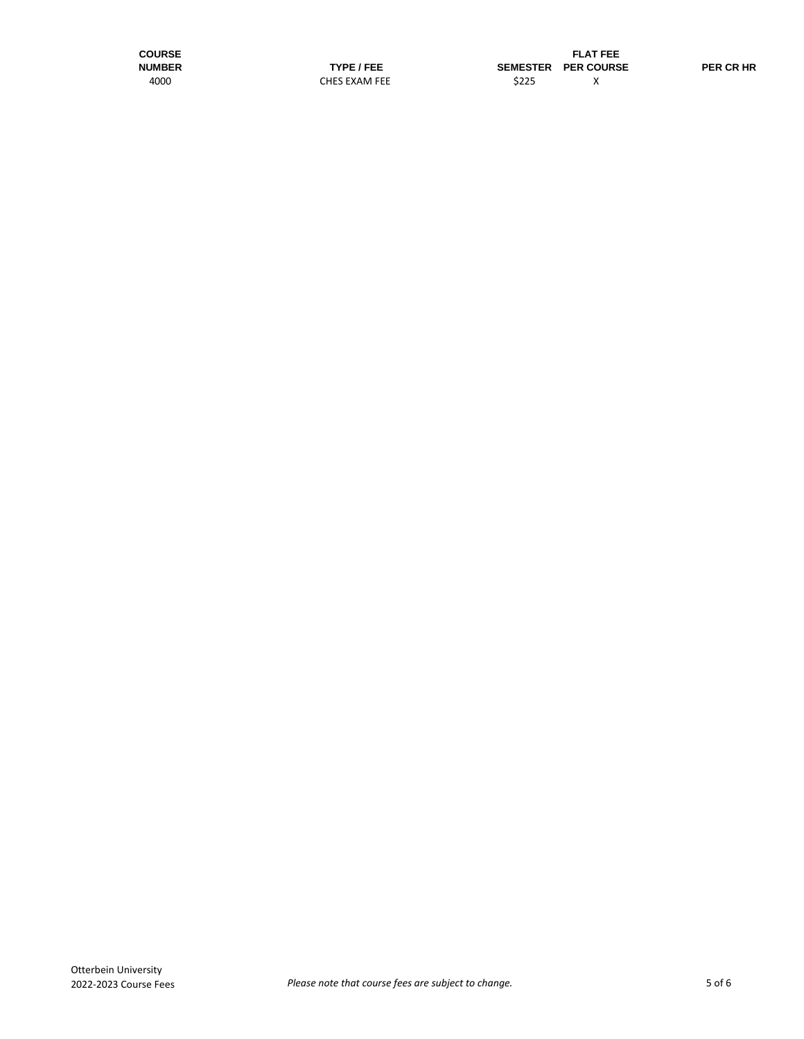**COURSE**<br> **FLAT FEE**<br> **FLAT FEE**<br> **FLAT FEE**<br> **FLAT FEE**<br> **FLAT FEE**<br> **FLAT FEE NUMBER TYPE / FEE SEMESTER PER COURSE PER CR HR** CHES EXAM FEE \$225 X